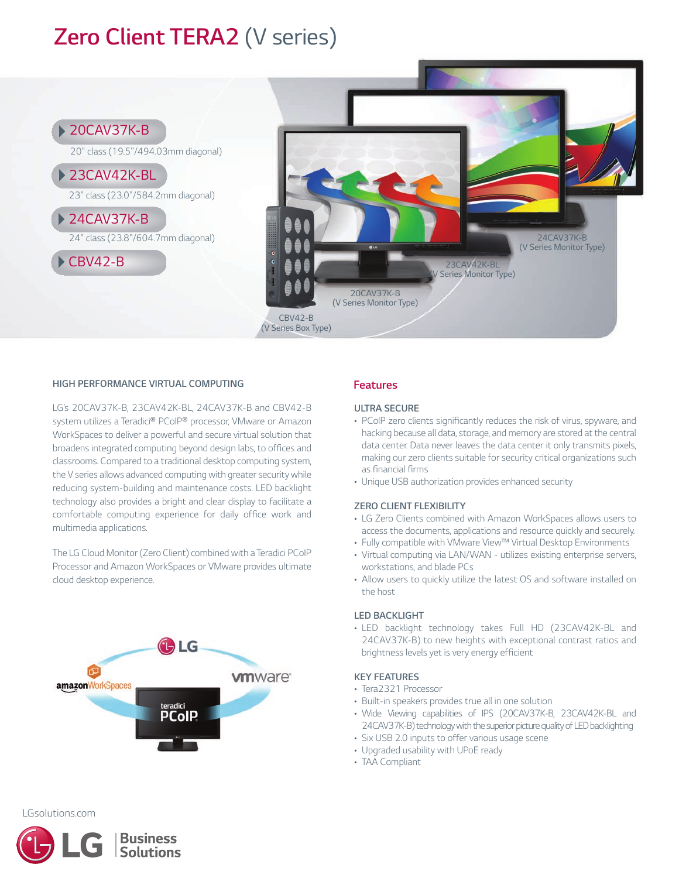# *Zero Client TERA2 (V series)*



#### *HIGH PERFORMANCE VIRTUAL COMPUTING*

*LG's 20CAV37K-B, 23CAV42K-BL, 24CAV37K-B and CBV42-B system utilizes a Teradici® PCoIP® processor, VMware or Amazon WorkSpaces to deliver a powerful and secure virtual solution that broadens integrated computing beyond design labs, to offices and classrooms. Compared to a traditional desktop computing system, the V series allows advanced computing with greater security while reducing system-building and maintenance costs. LED backlight technology also provides a bright and clear display to facilitate a comfortable computing experience for daily office work and multimedia applications.*

*The LG Cloud Monitor (Zero Client) combined with a Teradici PCoIP Processor and Amazon WorkSpaces or VMware provides ultimate cloud desktop experience.*



### *Features*

#### *ULTRA SECURE*

- *PCoIP zero clients significantly reduces the risk of virus, spyware, and hacking because all data, storage, and memory are stored at the central data center. Data never leaves the data center it only transmits pixels, making our zero clients suitable for security critical organizations such as financial firms*
- *Unique USB authorization provides enhanced security*

#### *ZERO CLIENT FLEXIBILITY*

- *LG Zero Clients combined with Amazon WorkSpaces allows users to access the documents, applications and resource quickly and securely.*
- *Fully compatible with VMware View™ Virtual Desktop Environments*
- *Virtual computing via LAN/WAN utilizes existing enterprise servers, workstations, and blade PCs*
- *Allow users to quickly utilize the latest OS and software installed on the host*

#### *LED BACKLIGHT*

*• LED backlight technology takes Full HD (23CAV42K-BL and 24CAV37K-B) to new heights with exceptional contrast ratios and brightness levels yet is very energy efficient*

#### *KEY FEATURES*

- *Tera2321 Processor*
- *Built-in speakers provides true all in one solution*
- *Wide Viewing capabilities of IPS (20CAV37K-B, 23CAV42K-BL and* 24CAV37K-B) technology with the superior picture quality of LED backlighting
- *Six USB 2.0 inputs to offer various usage scene*
- *Upgraded usability with UPoE ready*
- *TAA Compliant*